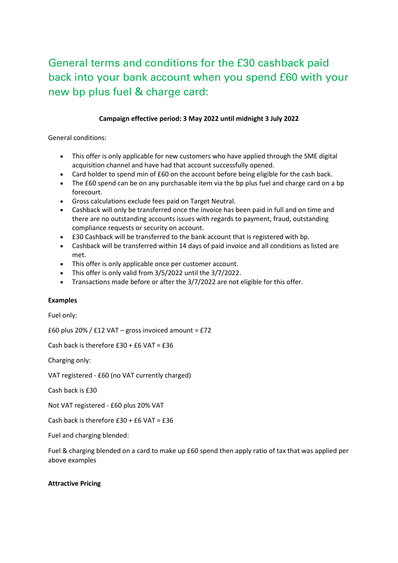## General terms and conditions for the £30 cashback paid back into your bank account when you spend £60 with your new bp plus fuel & charge card:

## **Campaign effective period: 3 May 2022 until midnight 3 July 2022**

General conditions:

- This offer is only applicable for new customers who have applied through the SME digital acquisition channel and have had that account successfully opened.
- Card holder to spend min of £60 on the account before being eligible for the cash back.
- The £60 spend can be on any purchasable item via the bp plus fuel and charge card on a bp forecourt.
- Gross calculations exclude fees paid on Target Neutral.
- Cashback will only be transferred once the invoice has been paid in full and on time and there are no outstanding accounts issues with regards to payment, fraud, outstanding compliance requests or security on account.
- £30 Cashback will be transferred to the bank account that is registered with bp.
- Cashback will be transferred within 14 days of paid invoice and all conditions as listed are met.
- This offer is only applicable once per customer account.
- This offer is only valid from 3/5/2022 until the 3/7/2022.
- Transactions made before or after the 3/7/2022 are not eligible for this offer.

## **Examples**

Fuel only:

£60 plus 20% / £12 VAT – gross invoiced amount =  $£72$ 

Cash back is therefore £30 + £6 VAT = £36

Charging only:

VAT registered - £60 (no VAT currently charged)

Cash back is £30

Not VAT registered - £60 plus 20% VAT

Cash back is therefore £30 + £6 VAT = £36

Fuel and charging blended:

Fuel & charging blended on a card to make up £60 spend then apply ratio of tax that was applied per above examples

## **Attractive Pricing**